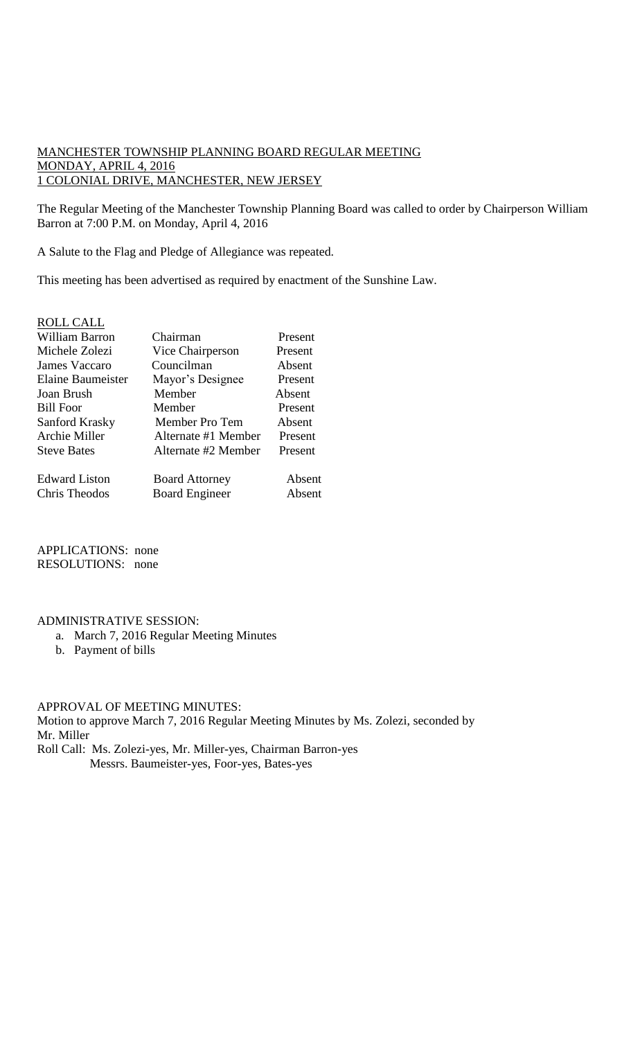# MANCHESTER TOWNSHIP PLANNING BOARD REGULAR MEETING MONDAY, APRIL 4, 2016 1 COLONIAL DRIVE, MANCHESTER, NEW JERSEY

The Regular Meeting of the Manchester Township Planning Board was called to order by Chairperson William Barron at 7:00 P.M. on Monday, April 4, 2016

A Salute to the Flag and Pledge of Allegiance was repeated.

This meeting has been advertised as required by enactment of the Sunshine Law.

# ROLL CALL

| William Barron       | Chairman              | Present |
|----------------------|-----------------------|---------|
| Michele Zolezi       | Vice Chairperson      | Present |
| James Vaccaro        | Councilman            | Absent  |
| Elaine Baumeister    | Mayor's Designee      | Present |
| Joan Brush           | Member                | Absent  |
| <b>Bill Foor</b>     | Member                | Present |
| Sanford Krasky       | Member Pro Tem        | Absent  |
| Archie Miller        | Alternate #1 Member   | Present |
| <b>Steve Bates</b>   | Alternate #2 Member   | Present |
| <b>Edward Liston</b> | <b>Board Attorney</b> | Absent  |
| Chris Theodos        | <b>Board Engineer</b> | Absent  |

APPLICATIONS: none RESOLUTIONS: none

### ADMINISTRATIVE SESSION:

- a. March 7, 2016 Regular Meeting Minutes
- b. Payment of bills

#### APPROVAL OF MEETING MINUTES:

Motion to approve March 7, 2016 Regular Meeting Minutes by Ms. Zolezi, seconded by Mr. Miller

Roll Call: Ms. Zolezi-yes, Mr. Miller-yes, Chairman Barron-yes Messrs. Baumeister-yes, Foor-yes, Bates-yes